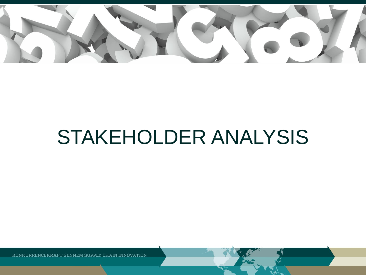

# STAKEHOLDER ANALYSIS

KONKURRENCEKRAFT GENNEM SUPPLY CHAIN INNOVATION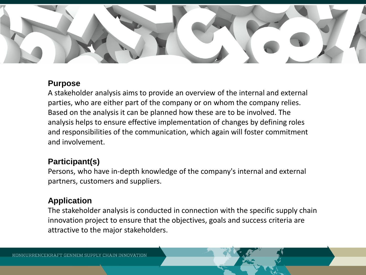

### **Purpose**

A stakeholder analysis aims to provide an overview of the internal and external parties, who are either part of the company or on whom the company relies. Based on the analysis it can be planned how these are to be involved. The analysis helps to ensure effective implementation of changes by defining roles and responsibilities of the communication, which again will foster commitment and involvement.

## **Participant(s)**

Persons, who have in-depth knowledge of the company's internal and external partners, customers and suppliers.

## **Application**

The stakeholder analysis is conducted in connection with the specific supply chain innovation project to ensure that the objectives, goals and success criteria are attractive to the major stakeholders.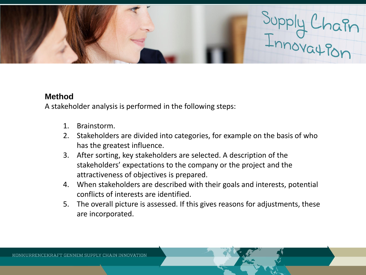

### **Method**

A stakeholder analysis is performed in the following steps:

- 1. Brainstorm.
- 2. Stakeholders are divided into categories, for example on the basis of who has the greatest influence.
- 3. After sorting, key stakeholders are selected. A description of the stakeholders' expectations to the company or the project and the attractiveness of objectives is prepared.
- 4. When stakeholders are described with their goals and interests, potential conflicts of interests are identified.
- 5. The overall picture is assessed. If this gives reasons for adjustments, these are incorporated.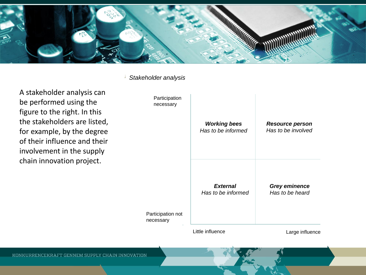

*Stakeholder analysis*

A stakeholder analysis can be performed using the figure to the right. In this the stakeholders are listed, for example, by the degree of their influence and their involvement in the supply chain innovation project.